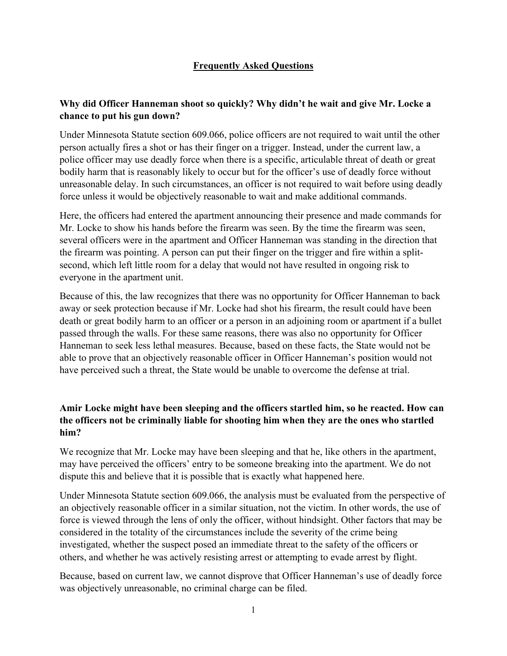# **Frequently Asked Questions**

### **Why did Officer Hanneman shoot so quickly? Why didn't he wait and give Mr. Locke a chance to put his gun down?**

Under Minnesota Statute section 609.066, police officers are not required to wait until the other person actually fires a shot or has their finger on a trigger. Instead, under the current law, a police officer may use deadly force when there is a specific, articulable threat of death or great bodily harm that is reasonably likely to occur but for the officer's use of deadly force without unreasonable delay. In such circumstances, an officer is not required to wait before using deadly force unless it would be objectively reasonable to wait and make additional commands.

Here, the officers had entered the apartment announcing their presence and made commands for Mr. Locke to show his hands before the firearm was seen. By the time the firearm was seen, several officers were in the apartment and Officer Hanneman was standing in the direction that the firearm was pointing. A person can put their finger on the trigger and fire within a splitsecond, which left little room for a delay that would not have resulted in ongoing risk to everyone in the apartment unit.

Because of this, the law recognizes that there was no opportunity for Officer Hanneman to back away or seek protection because if Mr. Locke had shot his firearm, the result could have been death or great bodily harm to an officer or a person in an adjoining room or apartment if a bullet passed through the walls. For these same reasons, there was also no opportunity for Officer Hanneman to seek less lethal measures. Because, based on these facts, the State would not be able to prove that an objectively reasonable officer in Officer Hanneman's position would not have perceived such a threat, the State would be unable to overcome the defense at trial.

## **Amir Locke might have been sleeping and the officers startled him, so he reacted. How can the officers not be criminally liable for shooting him when they are the ones who startled him?**

We recognize that Mr. Locke may have been sleeping and that he, like others in the apartment, may have perceived the officers' entry to be someone breaking into the apartment. We do not dispute this and believe that it is possible that is exactly what happened here.

Under Minnesota Statute section 609.066, the analysis must be evaluated from the perspective of an objectively reasonable officer in a similar situation, not the victim. In other words, the use of force is viewed through the lens of only the officer, without hindsight. Other factors that may be considered in the totality of the circumstances include the severity of the crime being investigated, whether the suspect posed an immediate threat to the safety of the officers or others, and whether he was actively resisting arrest or attempting to evade arrest by flight.

Because, based on current law, we cannot disprove that Officer Hanneman's use of deadly force was objectively unreasonable, no criminal charge can be filed.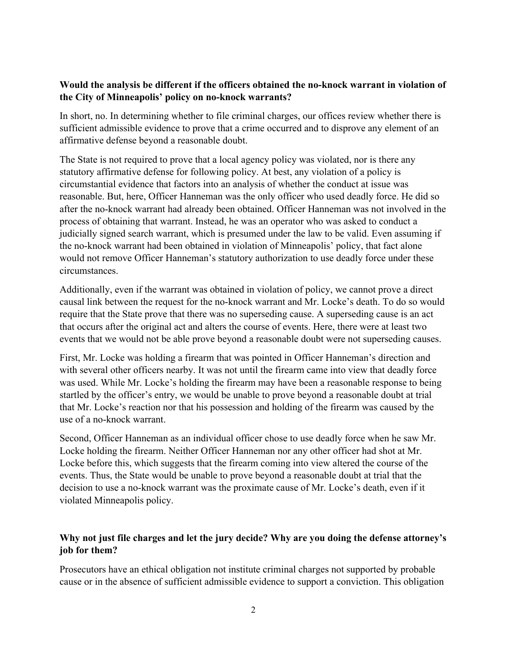#### **Would the analysis be different if the officers obtained the no-knock warrant in violation of the City of Minneapolis' policy on no-knock warrants?**

In short, no. In determining whether to file criminal charges, our offices review whether there is sufficient admissible evidence to prove that a crime occurred and to disprove any element of an affirmative defense beyond a reasonable doubt.

The State is not required to prove that a local agency policy was violated, nor is there any statutory affirmative defense for following policy. At best, any violation of a policy is circumstantial evidence that factors into an analysis of whether the conduct at issue was reasonable. But, here, Officer Hanneman was the only officer who used deadly force. He did so after the no-knock warrant had already been obtained. Officer Hanneman was not involved in the process of obtaining that warrant. Instead, he was an operator who was asked to conduct a judicially signed search warrant, which is presumed under the law to be valid. Even assuming if the no-knock warrant had been obtained in violation of Minneapolis' policy, that fact alone would not remove Officer Hanneman's statutory authorization to use deadly force under these circumstances.

Additionally, even if the warrant was obtained in violation of policy, we cannot prove a direct causal link between the request for the no-knock warrant and Mr. Locke's death. To do so would require that the State prove that there was no superseding cause. A superseding cause is an act that occurs after the original act and alters the course of events. Here, there were at least two events that we would not be able prove beyond a reasonable doubt were not superseding causes.

First, Mr. Locke was holding a firearm that was pointed in Officer Hanneman's direction and with several other officers nearby. It was not until the firearm came into view that deadly force was used. While Mr. Locke's holding the firearm may have been a reasonable response to being startled by the officer's entry, we would be unable to prove beyond a reasonable doubt at trial that Mr. Locke's reaction nor that his possession and holding of the firearm was caused by the use of a no-knock warrant.

Second, Officer Hanneman as an individual officer chose to use deadly force when he saw Mr. Locke holding the firearm. Neither Officer Hanneman nor any other officer had shot at Mr. Locke before this, which suggests that the firearm coming into view altered the course of the events. Thus, the State would be unable to prove beyond a reasonable doubt at trial that the decision to use a no-knock warrant was the proximate cause of Mr. Locke's death, even if it violated Minneapolis policy.

# **Why not just file charges and let the jury decide? Why are you doing the defense attorney's job for them?**

Prosecutors have an ethical obligation not institute criminal charges not supported by probable cause or in the absence of sufficient admissible evidence to support a conviction. This obligation